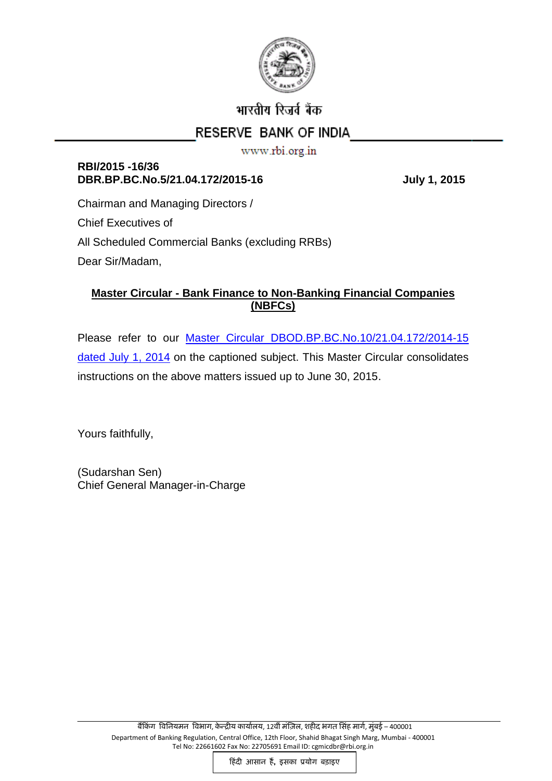

# भारतीय रिजर्व बैंक

## RESERVE BANK OF INDIA

www.rbi.org.in

## **RBI/2015 -16/36** DBR.BP.BC.No.5/21.04.172/2015-16 July 1, 2015

Chairman and Managing Directors / Chief Executives of All Scheduled Commercial Banks (excluding RRBs) Dear Sir/Madam,

## **Master Circular - Bank Finance to Non-Banking Financial Companies (NBFCs)**

Please refer to our Master Circular [DBOD.BP.BC.No.10/21.04.172/2014-15](https://rbi.org.in/Scripts/BS_ViewMasCirculardetails.aspx?id=8994) [dated July 1, 2014](https://rbi.org.in/Scripts/BS_ViewMasCirculardetails.aspx?id=8994) on the captioned subject. This Master Circular consolidates instructions on the above matters issued up to June 30, 2015.

Yours faithfully,

(Sudarshan Sen) Chief General Manager-in-Charge

हिंदी आसान हैं, इसका प्रयोग बड़ाइए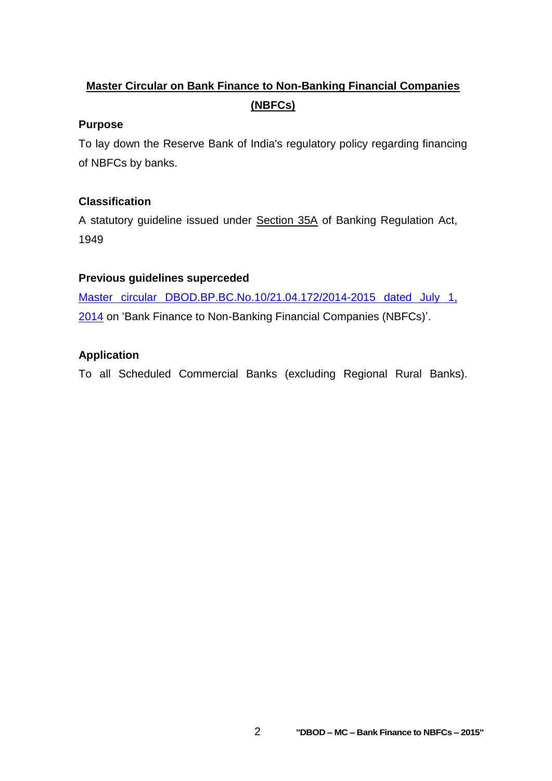# **Master Circular on Bank Finance to Non-Banking Financial Companies (NBFCs)**

## **Purpose**

To lay down the Reserve Bank of India's regulatory policy regarding financing of NBFCs by banks.

## **Classification**

A statutory guideline issued under Section 35A of Banking Regulation Act, 1949

## **Previous guidelines superceded**

[Master circular DBOD.BP.BC.No.10/21.04.172/2014-2015](https://rbi.org.in/Scripts/BS_ViewMasCirculardetails.aspx?id=8994) dated July 1, [2014](https://rbi.org.in/Scripts/BS_ViewMasCirculardetails.aspx?id=8994) on 'Bank Finance to Non-Banking Financial Companies (NBFCs)'.

### **Application**

To all Scheduled Commercial Banks (excluding Regional Rural Banks).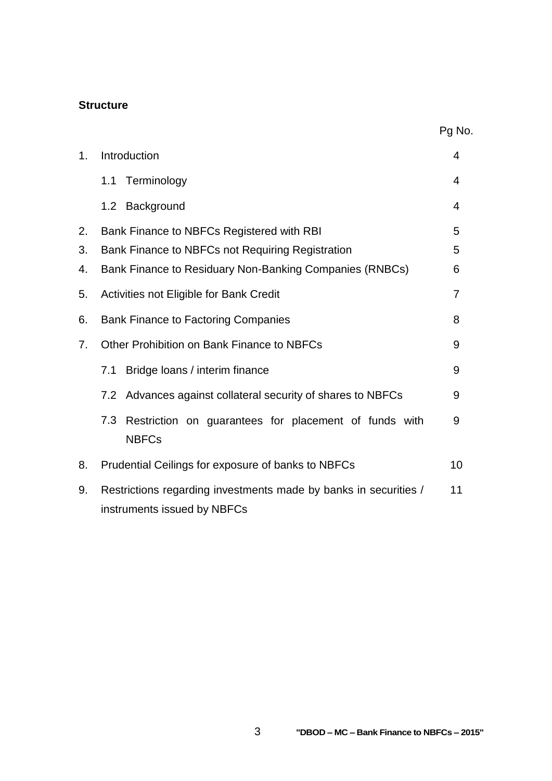#### **Structure**

|    |                                                                                                 | Pg No.         |
|----|-------------------------------------------------------------------------------------------------|----------------|
| 1. | Introduction                                                                                    | 4              |
|    | 1.1 Terminology                                                                                 | 4              |
|    | Background<br>1.2                                                                               | 4              |
| 2. | Bank Finance to NBFCs Registered with RBI                                                       | 5              |
| 3. | Bank Finance to NBFCs not Requiring Registration                                                | 5              |
| 4. | Bank Finance to Residuary Non-Banking Companies (RNBCs)                                         | 6              |
| 5. | Activities not Eligible for Bank Credit                                                         | $\overline{7}$ |
| 6. | <b>Bank Finance to Factoring Companies</b>                                                      | 8              |
| 7. | Other Prohibition on Bank Finance to NBFCs                                                      | 9              |
|    | Bridge loans / interim finance<br>7.1                                                           | 9              |
|    | Advances against collateral security of shares to NBFCs<br>7.2                                  | 9              |
|    | 7.3<br>Restriction on guarantees for placement of funds with<br><b>NBFCs</b>                    | 9              |
| 8. | Prudential Ceilings for exposure of banks to NBFCs                                              | 10             |
| 9. | Restrictions regarding investments made by banks in securities /<br>instruments issued by NBFCs | 11             |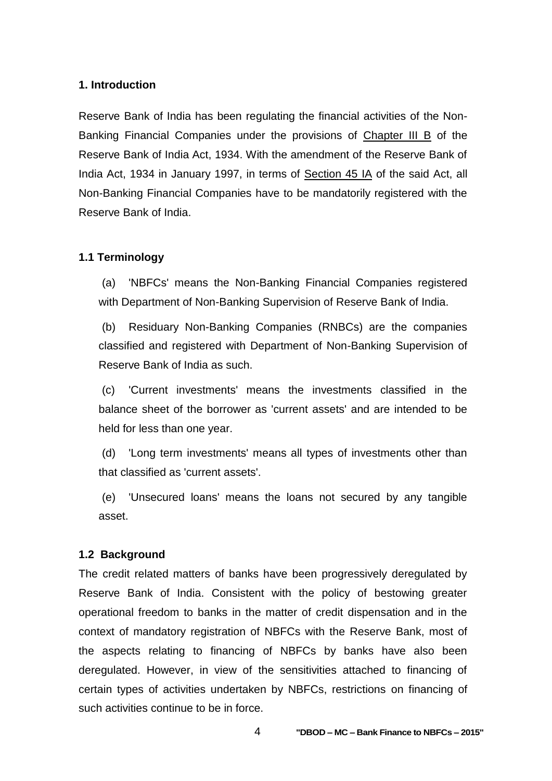#### **1. Introduction**

Reserve Bank of India has been regulating the financial activities of the Non-Banking Financial Companies under the provisions of Chapter III B of the Reserve Bank of India Act, 1934. With the amendment of the Reserve Bank of India Act, 1934 in January 1997, in terms of Section 45 IA of the said Act, all Non-Banking Financial Companies have to be mandatorily registered with the Reserve Bank of India.

#### **1.1 Terminology**

(a) 'NBFCs' means the Non-Banking Financial Companies registered with Department of Non-Banking Supervision of Reserve Bank of India.

(b) Residuary Non-Banking Companies (RNBCs) are the companies classified and registered with Department of Non-Banking Supervision of Reserve Bank of India as such.

(c) 'Current investments' means the investments classified in the balance sheet of the borrower as 'current assets' and are intended to be held for less than one year.

(d) 'Long term investments' means all types of investments other than that classified as 'current assets'.

(e) 'Unsecured loans' means the loans not secured by any tangible asset.

#### **1.2 Background**

The credit related matters of banks have been progressively deregulated by Reserve Bank of India. Consistent with the policy of bestowing greater operational freedom to banks in the matter of credit dispensation and in the context of mandatory registration of NBFCs with the Reserve Bank, most of the aspects relating to financing of NBFCs by banks have also been deregulated. However, in view of the sensitivities attached to financing of certain types of activities undertaken by NBFCs, restrictions on financing of such activities continue to be in force.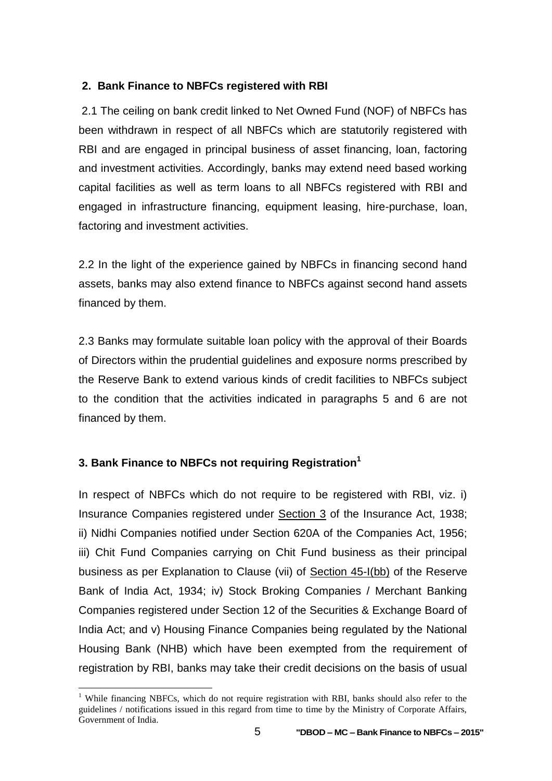### **2. Bank Finance to NBFCs registered with RBI**

2.1 The ceiling on bank credit linked to Net Owned Fund (NOF) of NBFCs has been withdrawn in respect of all NBFCs which are statutorily registered with RBI and are engaged in principal business of asset financing, loan, factoring and investment activities. Accordingly, banks may extend need based working capital facilities as well as term loans to all NBFCs registered with RBI and engaged in infrastructure financing, equipment leasing, hire-purchase, loan, factoring and investment activities.

2.2 In the light of the experience gained by NBFCs in financing second hand assets, banks may also extend finance to NBFCs against second hand assets financed by them.

2.3 Banks may formulate suitable loan policy with the approval of their Boards of Directors within the prudential guidelines and exposure norms prescribed by the Reserve Bank to extend various kinds of credit facilities to NBFCs subject to the condition that the activities indicated in paragraphs 5 and 6 are not financed by them.

## **3. Bank Finance to NBFCs not requiring Registration<sup>1</sup>**

 $\overline{a}$ 

In respect of NBFCs which do not require to be registered with RBI, viz. i) Insurance Companies registered under Section 3 of the Insurance Act, 1938; ii) Nidhi Companies notified under Section 620A of the Companies Act, 1956; iii) Chit Fund Companies carrying on Chit Fund business as their principal business as per Explanation to Clause (vii) of Section 45-I(bb) of the Reserve Bank of India Act, 1934; iv) Stock Broking Companies / Merchant Banking Companies registered under Section 12 of the Securities & Exchange Board of India Act; and v) Housing Finance Companies being regulated by the National Housing Bank (NHB) which have been exempted from the requirement of registration by RBI, banks may take their credit decisions on the basis of usual

<sup>&</sup>lt;sup>1</sup> While financing NBFCs, which do not require registration with RBI, banks should also refer to the guidelines / notifications issued in this regard from time to time by the Ministry of Corporate Affairs, Government of India.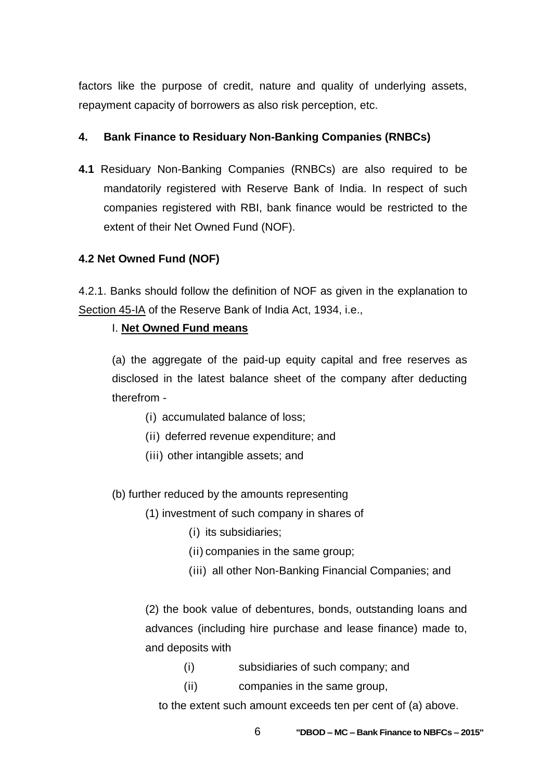factors like the purpose of credit, nature and quality of underlying assets, repayment capacity of borrowers as also risk perception, etc.

## **4. Bank Finance to Residuary Non-Banking Companies (RNBCs)**

**4.1** Residuary Non-Banking Companies (RNBCs) are also required to be mandatorily registered with Reserve Bank of India. In respect of such companies registered with RBI, bank finance would be restricted to the extent of their Net Owned Fund (NOF).

## **4.2 Net Owned Fund (NOF)**

4.2.1. Banks should follow the definition of NOF as given in the explanation to Section 45-IA of the Reserve Bank of India Act, 1934, i.e.,

## I. **Net Owned Fund means**

(a) the aggregate of the paid-up equity capital and free reserves as disclosed in the latest balance sheet of the company after deducting therefrom -

- (i) accumulated balance of loss;
- (ii) deferred revenue expenditure; and
- (iii) other intangible assets; and

(b) further reduced by the amounts representing

- (1) investment of such company in shares of
	- (i) its subsidiaries;
	- (ii) companies in the same group;
	- (iii) all other Non-Banking Financial Companies; and

(2) the book value of debentures, bonds, outstanding loans and advances (including hire purchase and lease finance) made to, and deposits with

- (i) subsidiaries of such company; and
- (ii) companies in the same group,

to the extent such amount exceeds ten per cent of (a) above.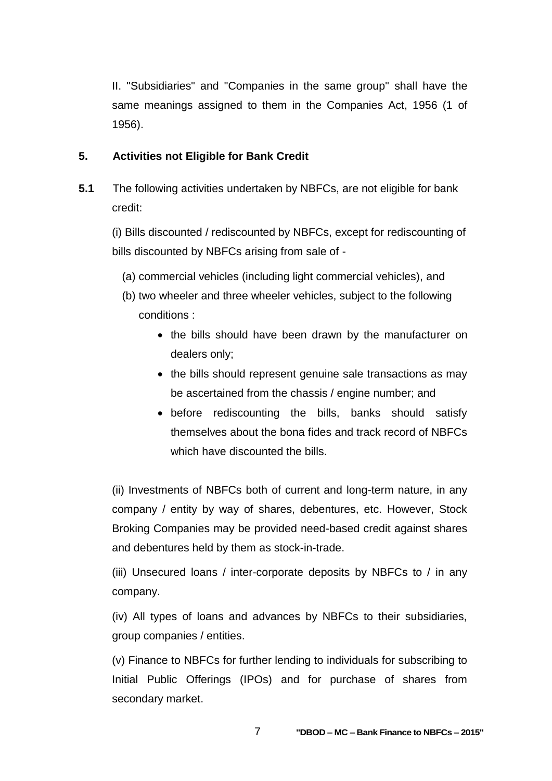II. "Subsidiaries" and "Companies in the same group" shall have the same meanings assigned to them in the Companies Act, 1956 (1 of 1956).

### **5. Activities not Eligible for Bank Credit**

**5.1** The following activities undertaken by NBFCs, are not eligible for bank credit:

(i) Bills discounted / rediscounted by NBFCs, except for rediscounting of bills discounted by NBFCs arising from sale of -

- (a) commercial vehicles (including light commercial vehicles), and
- (b) two wheeler and three wheeler vehicles, subject to the following conditions :
	- the bills should have been drawn by the manufacturer on dealers only;
	- the bills should represent genuine sale transactions as may be ascertained from the chassis / engine number; and
	- before rediscounting the bills, banks should satisfy themselves about the bona fides and track record of NBFCs which have discounted the bills.

(ii) Investments of NBFCs both of current and long-term nature, in any company / entity by way of shares, debentures, etc. However, Stock Broking Companies may be provided need-based credit against shares and debentures held by them as stock-in-trade.

(iii) Unsecured loans / inter-corporate deposits by NBFCs to / in any company.

(iv) All types of loans and advances by NBFCs to their subsidiaries, group companies / entities.

(v) Finance to NBFCs for further lending to individuals for subscribing to Initial Public Offerings (IPOs) and for purchase of shares from secondary market.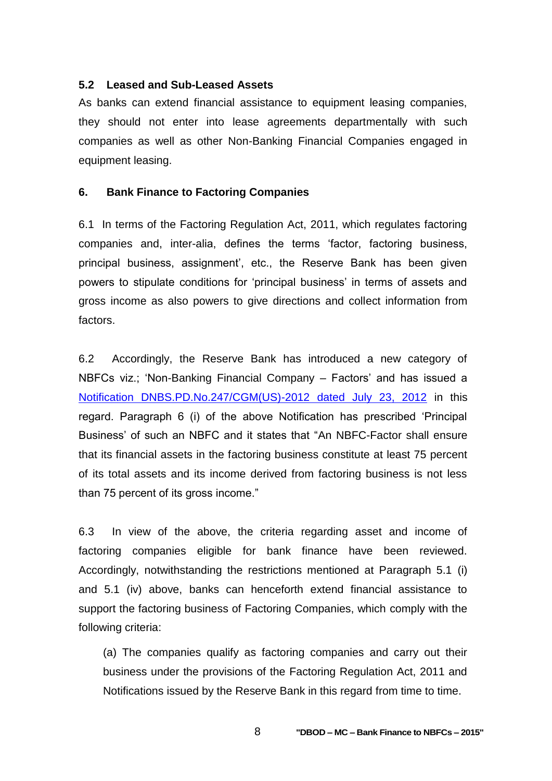#### **5.2 Leased and Sub-Leased Assets**

As banks can extend financial assistance to equipment leasing companies, they should not enter into lease agreements departmentally with such companies as well as other Non-Banking Financial Companies engaged in equipment leasing.

#### **6. Bank Finance to Factoring Companies**

6.1 In terms of the Factoring Regulation Act, 2011, which regulates factoring companies and, inter-alia, defines the terms 'factor, factoring business, principal business, assignment', etc., the Reserve Bank has been given powers to stipulate conditions for 'principal business' in terms of assets and gross income as also powers to give directions and collect information from factors.

6.2 Accordingly, the Reserve Bank has introduced a new category of NBFCs viz.; 'Non-Banking Financial Company – Factors' and has issued a [Notification DNBS.PD.No.247/CGM\(US\)-2012 dated July 23, 2012](https://rbi.org.in/Scripts/NotificationUser.aspx?Id=7462&Mode=0#AN) in this regard. Paragraph 6 (i) of the above Notification has prescribed 'Principal Business' of such an NBFC and it states that "An NBFC-Factor shall ensure that its financial assets in the factoring business constitute at least 75 percent of its total assets and its income derived from factoring business is not less than 75 percent of its gross income."

6.3 In view of the above, the criteria regarding asset and income of factoring companies eligible for bank finance have been reviewed. Accordingly, notwithstanding the restrictions mentioned at Paragraph 5.1 (i) and 5.1 (iv) above, banks can henceforth extend financial assistance to support the factoring business of Factoring Companies, which comply with the following criteria:

(a) The companies qualify as factoring companies and carry out their business under the provisions of the Factoring Regulation Act, 2011 and Notifications issued by the Reserve Bank in this regard from time to time.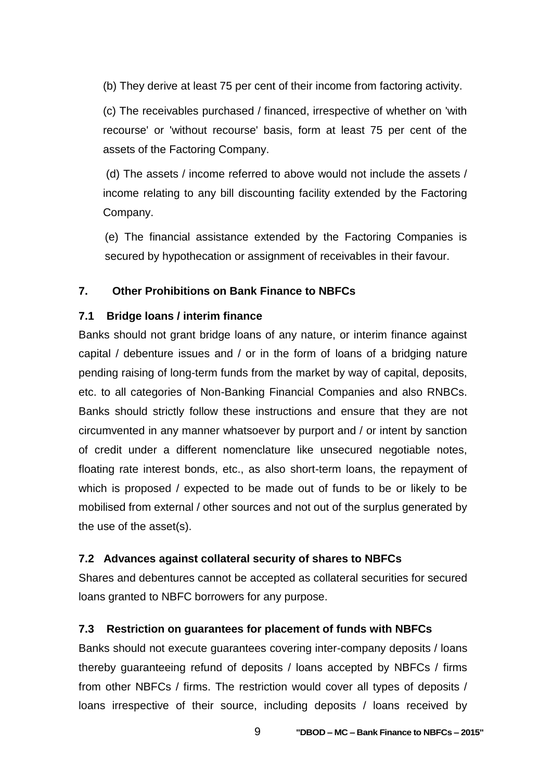(b) They derive at least 75 per cent of their income from factoring activity.

(c) The receivables purchased / financed, irrespective of whether on 'with recourse' or 'without recourse' basis, form at least 75 per cent of the assets of the Factoring Company.

(d) The assets / income referred to above would not include the assets / income relating to any bill discounting facility extended by the Factoring Company.

(e) The financial assistance extended by the Factoring Companies is secured by hypothecation or assignment of receivables in their favour.

#### **7. Other Prohibitions on Bank Finance to NBFCs**

#### **7.1 Bridge loans / interim finance**

Banks should not grant bridge loans of any nature, or interim finance against capital / debenture issues and / or in the form of loans of a bridging nature pending raising of long-term funds from the market by way of capital, deposits, etc. to all categories of Non-Banking Financial Companies and also RNBCs. Banks should strictly follow these instructions and ensure that they are not circumvented in any manner whatsoever by purport and / or intent by sanction of credit under a different nomenclature like unsecured negotiable notes, floating rate interest bonds, etc., as also short-term loans, the repayment of which is proposed / expected to be made out of funds to be or likely to be mobilised from external / other sources and not out of the surplus generated by the use of the asset(s).

#### **7.2 Advances against collateral security of shares to NBFCs**

Shares and debentures cannot be accepted as collateral securities for secured loans granted to NBFC borrowers for any purpose.

#### **7.3 Restriction on guarantees for placement of funds with NBFCs**

Banks should not execute guarantees covering inter-company deposits / loans thereby guaranteeing refund of deposits / loans accepted by NBFCs / firms from other NBFCs / firms. The restriction would cover all types of deposits / loans irrespective of their source, including deposits / loans received by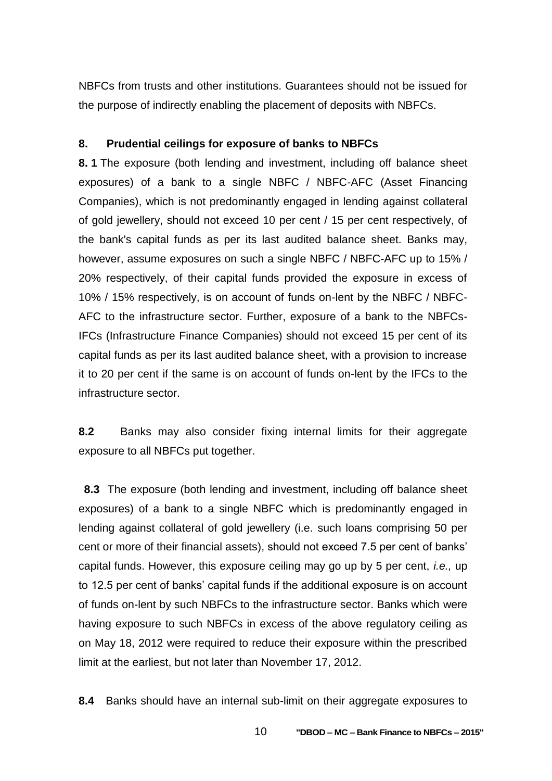NBFCs from trusts and other institutions. Guarantees should not be issued for the purpose of indirectly enabling the placement of deposits with NBFCs.

#### **8. Prudential ceilings for exposure of banks to NBFCs**

**8. 1** The exposure (both lending and investment, including off balance sheet exposures) of a bank to a single NBFC / NBFC-AFC (Asset Financing Companies), which is not predominantly engaged in lending against collateral of gold jewellery, should not exceed 10 per cent / 15 per cent respectively, of the bank's capital funds as per its last audited balance sheet. Banks may, however, assume exposures on such a single NBFC / NBFC-AFC up to 15% / 20% respectively, of their capital funds provided the exposure in excess of 10% / 15% respectively, is on account of funds on-lent by the NBFC / NBFC-AFC to the infrastructure sector. Further, exposure of a bank to the NBFCs-IFCs (Infrastructure Finance Companies) should not exceed 15 per cent of its capital funds as per its last audited balance sheet, with a provision to increase it to 20 per cent if the same is on account of funds on-lent by the IFCs to the infrastructure sector.

**8.2** Banks may also consider fixing internal limits for their aggregate exposure to all NBFCs put together.

 **8.3** The exposure (both lending and investment, including off balance sheet exposures) of a bank to a single NBFC which is predominantly engaged in lending against collateral of gold jewellery (i.e. such loans comprising 50 per cent or more of their financial assets), should not exceed 7.5 per cent of banks' capital funds. However, this exposure ceiling may go up by 5 per cent, *i.e.,* up to 12.5 per cent of banks' capital funds if the additional exposure is on account of funds on-lent by such NBFCs to the infrastructure sector. Banks which were having exposure to such NBFCs in excess of the above regulatory ceiling as on May 18, 2012 were required to reduce their exposure within the prescribed limit at the earliest, but not later than November 17, 2012.

**8.4** Banks should have an internal sub-limit on their aggregate exposures to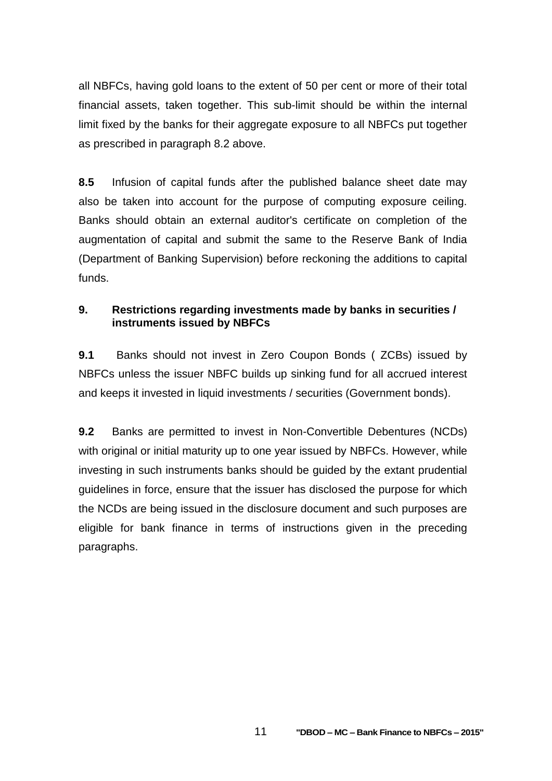all NBFCs, having gold loans to the extent of 50 per cent or more of their total financial assets, taken together. This sub-limit should be within the internal limit fixed by the banks for their aggregate exposure to all NBFCs put together as prescribed in paragraph 8.2 above.

**8.5** Infusion of capital funds after the published balance sheet date may also be taken into account for the purpose of computing exposure ceiling. Banks should obtain an external auditor's certificate on completion of the augmentation of capital and submit the same to the Reserve Bank of India (Department of Banking Supervision) before reckoning the additions to capital funds.

## **9. Restrictions regarding investments made by banks in securities / instruments issued by NBFCs**

**9.1** Banks should not invest in Zero Coupon Bonds ( ZCBs) issued by NBFCs unless the issuer NBFC builds up sinking fund for all accrued interest and keeps it invested in liquid investments / securities (Government bonds).

**9.2** Banks are permitted to invest in Non-Convertible Debentures (NCDs) with original or initial maturity up to one year issued by NBFCs. However, while investing in such instruments banks should be guided by the extant prudential guidelines in force, ensure that the issuer has disclosed the purpose for which the NCDs are being issued in the disclosure document and such purposes are eligible for bank finance in terms of instructions given in the preceding paragraphs.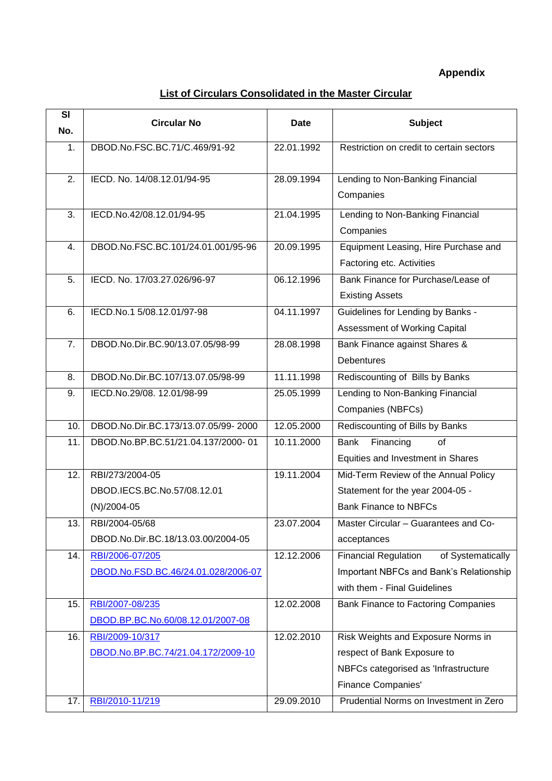## **Appendix**

## **List of Circulars Consolidated in the Master Circular**

| SI               | <b>Circular No</b>                  | <b>Date</b> | <b>Subject</b>                                   |
|------------------|-------------------------------------|-------------|--------------------------------------------------|
| No.              |                                     |             |                                                  |
| 1.               | DBOD.No.FSC.BC.71/C.469/91-92       | 22.01.1992  | Restriction on credit to certain sectors         |
| 2.               | IECD. No. 14/08.12.01/94-95         | 28.09.1994  | Lending to Non-Banking Financial                 |
|                  |                                     |             | Companies                                        |
| 3.               | IECD.No.42/08.12.01/94-95           | 21.04.1995  | Lending to Non-Banking Financial                 |
|                  |                                     |             | Companies                                        |
| 4.               | DBOD.No.FSC.BC.101/24.01.001/95-96  | 20.09.1995  | Equipment Leasing, Hire Purchase and             |
|                  |                                     |             | Factoring etc. Activities                        |
| 5.               | IECD. No. 17/03.27.026/96-97        | 06.12.1996  | Bank Finance for Purchase/Lease of               |
|                  |                                     |             | <b>Existing Assets</b>                           |
| 6.               | IECD.No.1 5/08.12.01/97-98          | 04.11.1997  | Guidelines for Lending by Banks -                |
|                  |                                     |             | Assessment of Working Capital                    |
| $\overline{7}$ . | DBOD.No.Dir.BC.90/13.07.05/98-99    | 28.08.1998  | Bank Finance against Shares &                    |
|                  |                                     |             | <b>Debentures</b>                                |
| 8.               | DBOD.No.Dir.BC.107/13.07.05/98-99   | 11.11.1998  | Rediscounting of Bills by Banks                  |
| 9.               | IECD.No.29/08. 12.01/98-99          | 25.05.1999  | Lending to Non-Banking Financial                 |
|                  |                                     |             | Companies (NBFCs)                                |
| 10.              | DBOD.No.Dir.BC.173/13.07.05/99-2000 | 12.05.2000  | Rediscounting of Bills by Banks                  |
| 11.              | DBOD.No.BP.BC.51/21.04.137/2000-01  | 10.11.2000  | Bank<br>Financing<br>οf                          |
|                  |                                     |             | Equities and Investment in Shares                |
| 12.              | RBI/273/2004-05                     | 19.11.2004  | Mid-Term Review of the Annual Policy             |
|                  | DBOD.IECS.BC.No.57/08.12.01         |             | Statement for the year 2004-05 -                 |
|                  | $(N)/2004-05$                       |             | <b>Bank Finance to NBFCs</b>                     |
| 13.              | RBI/2004-05/68                      | 23.07.2004  | Master Circular - Guarantees and Co-             |
|                  | DBOD.No.Dir.BC.18/13.03.00/2004-05  |             | acceptances                                      |
| 14.              | RBI/2006-07/205                     | 12.12.2006  | <b>Financial Regulation</b><br>of Systematically |
|                  | DBOD.No.FSD.BC.46/24.01.028/2006-07 |             | Important NBFCs and Bank's Relationship          |
|                  |                                     |             | with them - Final Guidelines                     |
| 15.              | RBI/2007-08/235                     | 12.02.2008  | Bank Finance to Factoring Companies              |
|                  | DBOD.BP.BC.No.60/08.12.01/2007-08   |             |                                                  |
| 16.              | RBI/2009-10/317                     | 12.02.2010  | Risk Weights and Exposure Norms in               |
|                  | DBOD.No.BP.BC.74/21.04.172/2009-10  |             | respect of Bank Exposure to                      |
|                  |                                     |             | NBFCs categorised as 'Infrastructure             |
|                  |                                     |             | <b>Finance Companies'</b>                        |
| 17.              | RBI/2010-11/219                     | 29.09.2010  | Prudential Norms on Investment in Zero           |